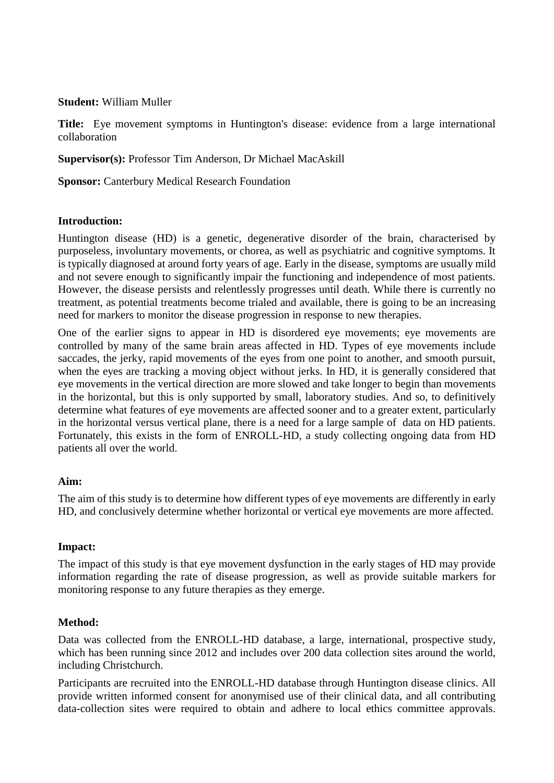#### **Student:** William Muller

**Title:** Eye movement symptoms in Huntington's disease: evidence from a large international collaboration

**Supervisor(s):** Professor Tim Anderson, Dr Michael MacAskill

**Sponsor:** Canterbury Medical Research Foundation

### **Introduction:**

Huntington disease (HD) is a genetic, degenerative disorder of the brain, characterised by purposeless, involuntary movements, or chorea, as well as psychiatric and cognitive symptoms. It is typically diagnosed at around forty years of age. Early in the disease, symptoms are usually mild and not severe enough to significantly impair the functioning and independence of most patients. However, the disease persists and relentlessly progresses until death. While there is currently no treatment, as potential treatments become trialed and available, there is going to be an increasing need for markers to monitor the disease progression in response to new therapies.

One of the earlier signs to appear in HD is disordered eye movements; eye movements are controlled by many of the same brain areas affected in HD. Types of eye movements include saccades, the jerky, rapid movements of the eyes from one point to another, and smooth pursuit, when the eyes are tracking a moving object without jerks. In HD, it is generally considered that eye movements in the vertical direction are more slowed and take longer to begin than movements in the horizontal, but this is only supported by small, laboratory studies. And so, to definitively determine what features of eye movements are affected sooner and to a greater extent, particularly in the horizontal versus vertical plane, there is a need for a large sample of data on HD patients. Fortunately, this exists in the form of ENROLL-HD, a study collecting ongoing data from HD patients all over the world.

### **Aim:**

The aim of this study is to determine how different types of eye movements are differently in early HD, and conclusively determine whether horizontal or vertical eye movements are more affected.

### **Impact:**

The impact of this study is that eye movement dysfunction in the early stages of HD may provide information regarding the rate of disease progression, as well as provide suitable markers for monitoring response to any future therapies as they emerge.

### **Method:**

Data was collected from the ENROLL-HD database, a large, international, prospective study, which has been running since 2012 and includes over 200 data collection sites around the world, including Christchurch.

Participants are recruited into the ENROLL-HD database through Huntington disease clinics. All provide written informed consent for anonymised use of their clinical data, and all contributing data-collection sites were required to obtain and adhere to local ethics committee approvals.